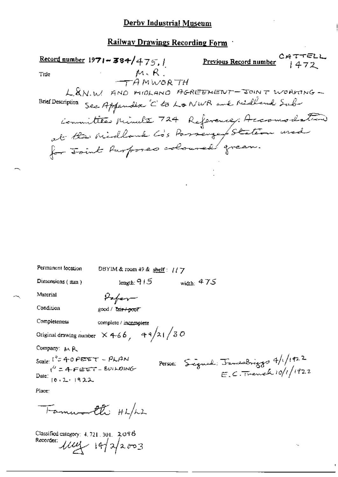## Derby Industrial Museum

## Railway Drawings Recording Form

| CATTELL<br>1472<br>Record number $1971 - 384/475$ ,<br>Previous Record number                                             |
|---------------------------------------------------------------------------------------------------------------------------|
| $M, R$ .<br>Title                                                                                                         |
| <del>t</del> A mworth                                                                                                     |
| L. & N.W. AND MIDLAND AGREEMENT - JOINT WORKING<br>See Appendix 'C' to Lo NWR and Ridland Sub<br><b>Brief Description</b> |
|                                                                                                                           |
| Committee Minute 724 Reference, Accomodation                                                                              |
| for Joint Purposes coloured green.                                                                                        |
|                                                                                                                           |
|                                                                                                                           |
|                                                                                                                           |
|                                                                                                                           |
|                                                                                                                           |
|                                                                                                                           |
|                                                                                                                           |
|                                                                                                                           |
|                                                                                                                           |
| Permanent location<br>DBYIM & room 49 & shelf: $1/7$                                                                      |
| Dimensions (mm)<br>length: $915$<br>width: $475$                                                                          |
| Material<br>Hafer                                                                                                         |
| Condition<br>good / T <del>air / poor</del>                                                                               |
| Completeness<br>complete / incomplete                                                                                     |
| Original drawing number $\propto$ 4-6 6, 4 9/2 1/3 0                                                                      |
| Company: MR                                                                                                               |
| $_{\text{Scale}}$ ("= 40 PEET - PLAN                                                                                      |
| Person: Signal: Januarbriggs $4/1/1922$<br>E.C. Trench $10/1/1922$<br>$(4 - 4 - 6e^{2T} - 60)$ NOING                      |
| Date: $[0.2.1922]$                                                                                                        |
| Place:                                                                                                                    |
|                                                                                                                           |

Fammeralti HL/LL

÷ъ,

Classified category: 4.721.301. 2098<br>Recorder:  $11/2$  14/2/2003